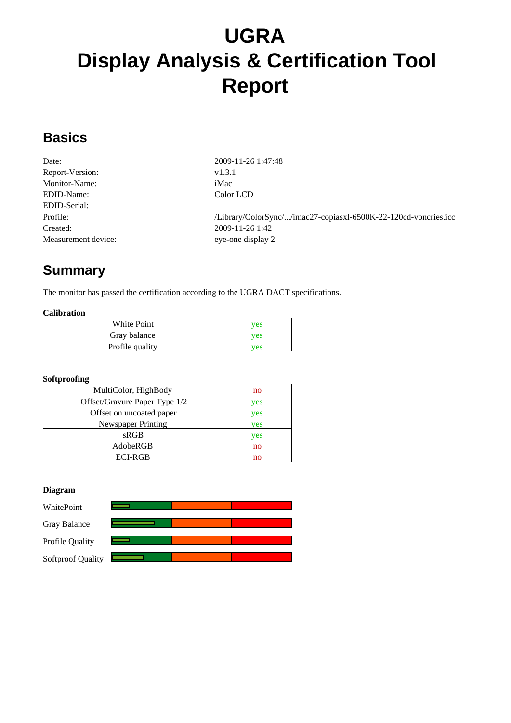# **UGRA Display Analysis & Certification Tool Report**

### **Basics**

| Date:                | 2009  |
|----------------------|-------|
| Report-Version:      | v1.3. |
| <b>Monitor-Name:</b> | iMac  |
| EDID-Name:           | Colo  |
| EDID-Serial:         |       |
| Profile:             | /Libr |
| Created:             | 2009  |
| Measurement device:  | eve-c |

Date: 2009-11-26 1:47:48 v1.3.1 Color LCD /Library/ColorSync/.../imac27-copiasxl-6500K-22-120cd-voncries.icc Created: 2009-11-26 1:42 eye-one display 2

# **Summary**

The monitor has passed the certification according to the UGRA DACT specifications.

#### **Calibration**

| White Point     | ves |
|-----------------|-----|
| Gray balance    | ves |
| Profile quality | ves |

#### **Softproofing**

| MultiColor, HighBody          | no  |
|-------------------------------|-----|
| Offset/Gravure Paper Type 1/2 | yes |
| Offset on uncoated paper      | ves |
| Newspaper Printing            | ves |
| sRGB                          | ves |
| AdobeRGB                      | no  |
| <b>ECI-RGB</b>                | no  |

#### **Diagram**

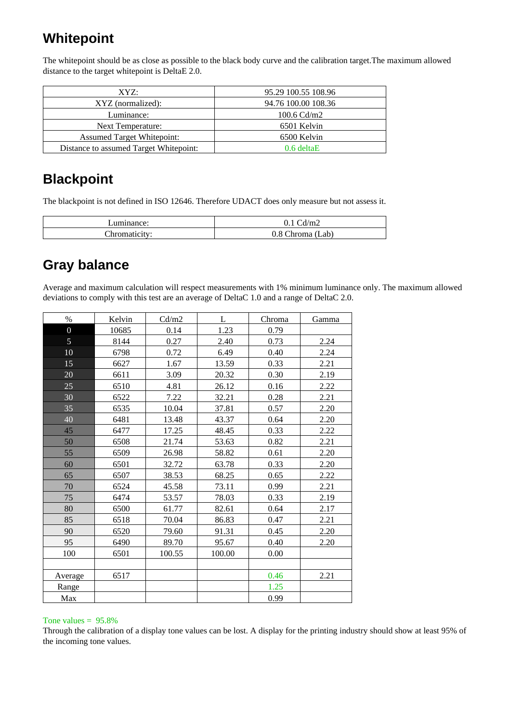### **Whitepoint**

The whitepoint should be as close as possible to the black body curve and the calibration target.The maximum allowed distance to the target whitepoint is DeltaE 2.0.

| XYZ:                                   | 95.29 100.55 108.96 |
|----------------------------------------|---------------------|
| XYZ (normalized):                      | 94.76 100.00 108.36 |
| Luminance:                             | 100.6 $Cd/m2$       |
| Next Temperature:                      | 6501 Kelvin         |
| <b>Assumed Target Whitepoint:</b>      | 6500 Kelvin         |
| Distance to assumed Target Whitepoint: | $0.6$ deltaE        |

### **Blackpoint**

The blackpoint is not defined in ISO 12646. Therefore UDACT does only measure but not assess it.

| uminance: | $\sim$<br>$\text{m}_2$<br>v.i |
|-----------|-------------------------------|
| Throma    | $\sim$<br>o h                 |

## **Gray balance**

Average and maximum calculation will respect measurements with 1% minimum luminance only. The maximum allowed deviations to comply with this test are an average of DeltaC 1.0 and a range of DeltaC 2.0.

| $\%$           | Kelvin | Cd/m2  | L      | Chroma | Gamma |
|----------------|--------|--------|--------|--------|-------|
| $\overline{0}$ | 10685  | 0.14   | 1.23   | 0.79   |       |
| $\overline{5}$ | 8144   | 0.27   | 2.40   | 0.73   | 2.24  |
| 10             | 6798   | 0.72   | 6.49   | 0.40   | 2.24  |
| 15             | 6627   | 1.67   | 13.59  | 0.33   | 2.21  |
| 20             | 6611   | 3.09   | 20.32  | 0.30   | 2.19  |
| 25             | 6510   | 4.81   | 26.12  | 0.16   | 2.22  |
| 30             | 6522   | 7.22   | 32.21  | 0.28   | 2.21  |
| 35             | 6535   | 10.04  | 37.81  | 0.57   | 2.20  |
| 40             | 6481   | 13.48  | 43.37  | 0.64   | 2.20  |
| 45             | 6477   | 17.25  | 48.45  | 0.33   | 2.22  |
| 50             | 6508   | 21.74  | 53.63  | 0.82   | 2.21  |
| 55             | 6509   | 26.98  | 58.82  | 0.61   | 2.20  |
| 60             | 6501   | 32.72  | 63.78  | 0.33   | 2.20  |
| 65             | 6507   | 38.53  | 68.25  | 0.65   | 2.22  |
| 70             | 6524   | 45.58  | 73.11  | 0.99   | 2.21  |
| 75             | 6474   | 53.57  | 78.03  | 0.33   | 2.19  |
| 80             | 6500   | 61.77  | 82.61  | 0.64   | 2.17  |
| 85             | 6518   | 70.04  | 86.83  | 0.47   | 2.21  |
| 90             | 6520   | 79.60  | 91.31  | 0.45   | 2.20  |
| 95             | 6490   | 89.70  | 95.67  | 0.40   | 2.20  |
| 100            | 6501   | 100.55 | 100.00 | 0.00   |       |
|                |        |        |        |        |       |
| Average        | 6517   |        |        | 0.46   | 2.21  |
| Range          |        |        |        | 1.25   |       |
| Max            |        |        |        | 0.99   |       |

#### Tone values  $= 95.8\%$

Through the calibration of a display tone values can be lost. A display for the printing industry should show at least 95% of the incoming tone values.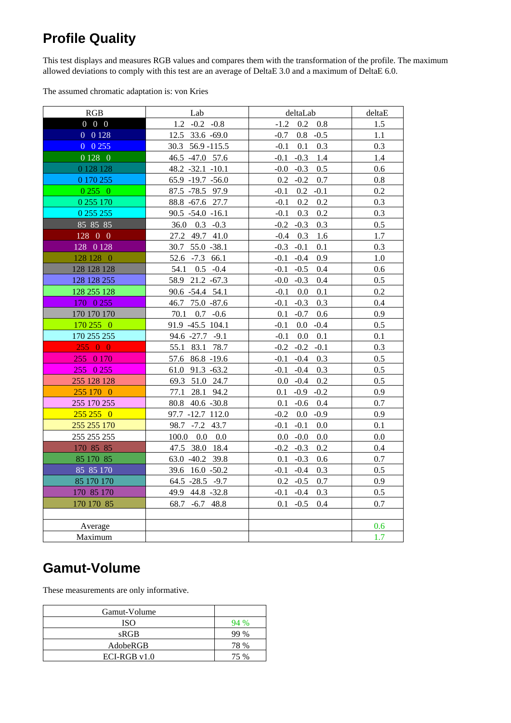# **Profile Quality**

This test displays and measures RGB values and compares them with the transformation of the profile. The maximum allowed deviations to comply with this test are an average of DeltaE 3.0 and a maximum of DeltaE 6.0.

The assumed chromatic adaptation is: von Kries

| RGB               | Lab                         | deltaLab                    | deltaE |
|-------------------|-----------------------------|-----------------------------|--------|
| $0\quad 0\quad 0$ | $1.2 -0.2 -0.8$             | $-1.2$<br>$0.2 \quad 0.8$   | 1.5    |
| 0 0128            | 12.5 33.6 -69.0             | $-0.7$<br>$0.8 - 0.5$       | 1.1    |
| $0\ 0\ 255$       | 30.3 56.9 - 115.5           | 0.1<br>0.3<br>$-0.1$        | 0.3    |
| 0 1 28 0          | 46.5 -47.0 57.6             | $-0.3$<br>$-0.1$<br>1.4     | 1.4    |
| 0 1 28 1 28       | $48.2 -32.1 -10.1$          | $-0.0$<br>$-0.3$<br>0.5     | 0.6    |
| 0 170 255         | 65.9 -19.7 -56.0            | 0.2<br>$-0.2$<br>0.7        | 0.8    |
| 02550             | 87.5 - 78.5 97.9            | $-0.1$<br>$0.2\,$<br>$-0.1$ | 0.2    |
| 0 255 170         | 88.8 -67.6 27.7             | 0.2<br>0.2<br>$-0.1$        | 0.3    |
| 0 255 255         | $90.5 -54.0 -16.1$          | 0.2<br>$-0.1$<br>0.3        | 0.3    |
| 85 85 85          | $36.0$ $0.3$ $-0.3$         | $-0.2 -0.3$<br>0.3          | 0.5    |
| 128 0 0           | 27.2 49.7 41.0              | $-0.4$ 0.3<br>1.6           | 1.7    |
| 128 0 128         | 30.7 55.0 -38.1             | 0.1<br>$-0.3 -0.1$          | 0.3    |
| 128 128 0         | 52.6 -7.3 66.1              | $-0.1$<br>$-0.4$<br>0.9     | 1.0    |
| 128 128 128       | 54.1 0.5 -0.4               | $-0.1 - 0.5$<br>0.4         | 0.6    |
| 128 128 255       | 58.9 21.2 -67.3             | $-0.3$<br>0.4<br>$-0.0$     | 0.5    |
| 128 255 128       | 90.6 -54.4 54.1             | $0.0\,$<br>0.1<br>$-0.1$    | 0.2    |
| 170 0 255         | 46.7 75.0 -87.6             | $-0.1$<br>$-0.3$<br>0.3     | 0.4    |
| 170 170 170       | 70.1<br>$0.7 - 0.6$         | 0.6<br>0.1<br>$-0.7$        | 0.9    |
| 170 255 0         | 91.9 -45.5 104.1            | $0.0 - 0.4$<br>$-0.1$       | 0.5    |
| 170 255 255       | 94.6 -27.7 -9.1             | 0.0<br>0.1<br>$-0.1$        | 0.1    |
| 25500             | 55.1 83.1 78.7              | $-0.2$<br>$-0.2 -0.1$       | 0.3    |
| 255 0 170         | 57.6 86.8 -19.6             | $-0.1$<br>$-0.4$<br>0.3     | 0.5    |
| 255 0 255         | 61.0 91.3 -63.2             | $-0.1$<br>$-0.4$<br>0.3     | 0.5    |
| 255 128 128       | 69.3 51.0 24.7              | $0.0 - 0.4$<br>0.2          | 0.5    |
| 255 170 0         | 77.1 28.1 94.2              | $-0.9 - 0.2$<br>0.1         | 0.9    |
| 255 170 255       | 80.8 40.6 -30.8             | 0.1<br>$-0.6$<br>0.4        | 0.7    |
| $255\,255\,0$     | 97.7 -12.7 112.0            | $-0.2$<br>0.0<br>$-0.9$     | 0.9    |
| 255 255 170       | 98.7 -7.2 43.7              | $-0.1$<br>$-0.1$<br>0.0     | 0.1    |
| 255 255 255       | $100.0 \quad 0.0 \quad 0.0$ | $0.0\,$<br>$-0.0$<br>0.0    | 0.0    |
| 170 85 85         | 47.5 38.0 18.4              | $-0.2 -0.3$<br>0.2          | 0.4    |
| 85 170 85         | 63.0 -40.2 39.8             | 0.1<br>$-0.3$<br>0.6        | 0.7    |
| 85 85 170         | 39.6 16.0 -50.2             | $-0.1$<br>$-0.4$<br>0.3     | 0.5    |
| 85 170 170        | $64.5 - 28.5 - 9.7$         | $0.2 -0.5$<br>0.7           | 0.9    |
| 170 85 170        | 49.9 44.8 -32.8             | $-0.1 - 0.4$<br>0.3         | 0.5    |
| 170 170 85        | 68.7 -6.7 48.8              | $0.1 - 0.5$<br>0.4          | 0.7    |
|                   |                             |                             |        |
| Average           |                             |                             | 0.6    |
| Maximum           |                             |                             | 1.7    |
|                   |                             |                             |        |

# **Gamut-Volume**

These measurements are only informative.

| Gamut-Volume  |      |
|---------------|------|
| <b>ISO</b>    |      |
| sRGB          | 99 % |
| AdobeRGB      | 78 % |
| $ECI-RGBv1.0$ | 75 % |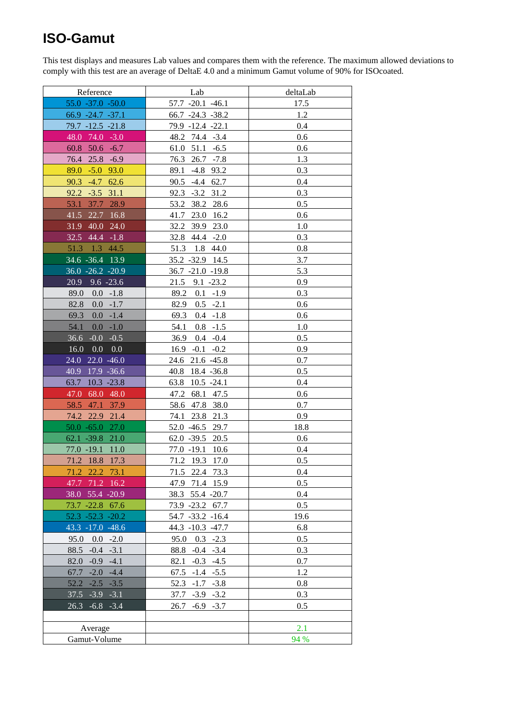### **ISO-Gamut**

This test displays and measures Lab values and compares them with the reference. The maximum allowed deviations to comply with this test are an average of DeltaE 4.0 and a minimum Gamut volume of 90% for ISOcoated.

| Reference                | Lab                    | deltaLab |
|--------------------------|------------------------|----------|
| $55.0 - 37.0 - 50.0$     | 57.7 -20.1 -46.1       | 17.5     |
| 66.9 -24.7 -37.1         | $66.7 -24.3 -38.2$     | 1.2      |
| 79.7 -12.5 -21.8         | 79.9 -12.4 -22.1       | 0.4      |
| 48.0<br>$74.0 - 3.0$     | 48.2 74.4 -3.4         | 0.6      |
| $50.6 - 6.7$<br>60.8     | 51.1<br>61.0<br>$-6.5$ | 0.6      |
| $25.8 - 6.9$<br>76.4     | 76.3<br>26.7<br>$-7.8$ | 1.3      |
| 89.0<br>$-5.0$ 93.0      | 89.1<br>$-4.8$ 93.2    | 0.3      |
| 90.3<br>$-4.7$<br>62.6   | 90.5<br>$-4.4$ 62.7    | 0.4      |
| 92.2<br>$-3.5$<br>31.1   | 92.3<br>$-3.2$<br>31.2 | 0.3      |
| 37.7<br>53.1<br>28.9     | 38.2<br>53.2<br>28.6   | 0.5      |
| 22.7<br>41.5<br>16.8     | 23.0<br>41.7<br>16.2   | 0.6      |
| 31.9 40.0<br>24.0        | 32.2<br>39.9<br>23.0   | 1.0      |
| 32.5 44.4 -1.8           | 32.8 44.4 -2.0         | 0.3      |
| 51.3 1.3 44.5            | 51.3<br>1.8 44.0       | 0.8      |
| 34.6 -36.4 13.9          | 35.2 - 32.9 14.5       | 3.7      |
| 36.0 -26.2 -20.9         | $36.7 -21.0 -19.8$     | 5.3      |
| 20.9<br>$9.6 - 23.6$     | $9.1 - 23.2$<br>21.5   | 0.9      |
| 89.0<br>$0.0 - 1.8$      | 89.2<br>$0.1 - 1.9$    | 0.3      |
| 82.8<br>0.0<br>$-1.7$    | $0.5 - 2.1$<br>82.9    | 0.6      |
| 69.3<br>0.0<br>$-1.4$    | 69.3<br>$0.4 - 1.8$    | 0.6      |
| 54.1<br>0.0<br>$-1.0$    | 54.1<br>$0.8 - 1.5$    | 1.0      |
| $-0.0$<br>36.6<br>$-0.5$ | $0.4 - 0.4$<br>36.9    | 0.5      |
| 0.0<br>16.0<br>0.0       | $16.9 -0.1 -0.2$       | 0.9      |
| 24.0<br>$22.0 -46.0$     | 24.6<br>$21.6 -45.8$   | 0.7      |
| $17.9 - 36.6$<br>40.9    | 18.4 - 36.8<br>40.8    | 0.5      |
| $10.3 - 23.8$<br>63.7    | 63.8<br>$10.5 -24.1$   | 0.4      |
| 68.0<br>47.0<br>48.0     | 47.2<br>68.1<br>47.5   | 0.6      |
| 47.1<br>58.5<br>37.9     | 58.6<br>47.8<br>38.0   | 0.7      |
| 22.9<br>74.2<br>21.4     | 23.8<br>21.3<br>74.1   | 0.9      |
| $50.0 - 65.0$<br>27.0    | 52.0 -46.5<br>29.7     | 18.8     |
| 62.1 -39.8<br>21.0       | $62.0 - 39.5$<br>20.5  | 0.6      |
| 77.0 -19.1<br>11.0       | $77.0 - 19.1$<br>10.6  | 0.4      |
| 71.2 18.8<br>17.3        | 71.2 19.3<br>17.0      | 0.5      |
| 71.2 22.2<br>73.1        | 71.5<br>22.4 73.3      | 0.4      |
| 47.7 71.2 16.2           | 47.9 71.4 15.9         | 0.5      |
| 38.0 55.4 -20.9          | 38.3 55.4 -20.7        | 0.4      |
| 73.7 -22.8 67.6          | 73.9 -23.2 67.7        | 0.5      |
| $52.3 - 52.3 - 20.2$     | 54.7 -33.2 -16.4       | 19.6     |
| 43.3 -17.0 -48.6         | 44.3 -10.3 -47.7       | 6.8      |
| 95.0<br>0.0<br>$-2.0$    | 95.0<br>$0.3 - 2.3$    | 0.5      |
| $88.5 - 0.4$<br>$-3.1$   | $88.8 - 0.4 - 3.4$     | 0.3      |
| $82.0 -0.9$<br>$-4.1$    | $-0.3 -4.5$<br>82.1    | 0.7      |
| $67.7 - 2.0$<br>$-4.4$   | $67.5 - 1.4 - 5.5$     | 1.2      |
| 52.2<br>$-2.5$<br>$-3.5$ | 52.3<br>$-1.7 -3.8$    | 0.8      |
| $37.5 - 3.9 - 3.1$       | $37.7 - 3.9 - 3.2$     | 0.3      |
| $26.3 -6.8 -3.4$         | 26.7<br>$-6.9 -3.7$    | 0.5      |
|                          |                        |          |
| Average                  |                        | 2.1      |
| Gamut-Volume             |                        | 94 %     |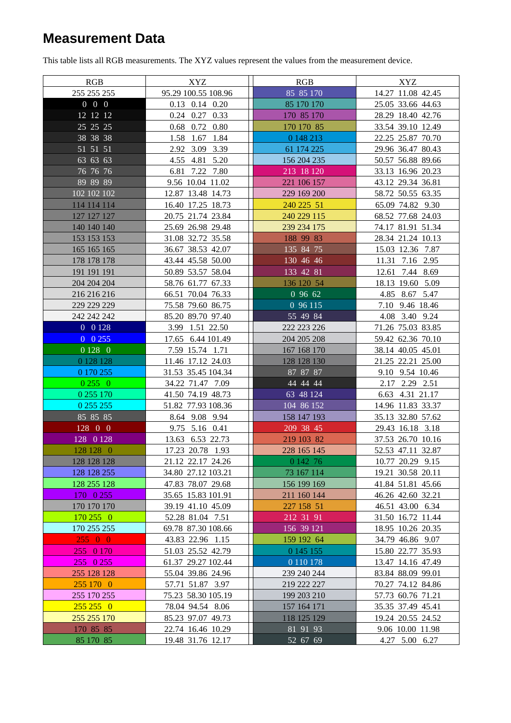## **Measurement Data**

This table lists all RGB measurements. The XYZ values represent the values from the measurement device.

| RGB               | XYZ                  | RGB           | XYZ               |
|-------------------|----------------------|---------------|-------------------|
| 255 255 255       | 95.29 100.55 108.96  | 85 85 170     | 14.27 11.08 42.45 |
| $0\quad 0\quad 0$ | $0.13$ $0.14$ $0.20$ | 85 170 170    | 25.05 33.66 44.63 |
| 12 12 12          | 0.24 0.27 0.33       | 170 85 170    | 28.29 18.40 42.76 |
| 25 25 25          | $0.68$ 0.72 0.80     | 170 170 85    | 33.54 39.10 12.49 |
| 38 38 38          | 1.58 1.67 1.84       | 0 148 213     | 22.25 25.87 70.70 |
| 51 51 51          | 2.92 3.09 3.39       | 61 174 225    | 29.96 36.47 80.43 |
| 63 63 63          | 4.55 4.81 5.20       | 156 204 235   | 50.57 56.88 89.66 |
| 76 76 76          | 6.81 7.22 7.80       | 213 18 120    | 33.13 16.96 20.23 |
| 89 89 89          | 9.56 10.04 11.02     | 221 106 157   | 43.12 29.34 36.81 |
| 102 102 102       | 12.87 13.48 14.73    | 229 169 200   | 58.72 50.55 63.35 |
| 114 114 114       | 16.40 17.25 18.73    | 240 225 51    | 65.09 74.82 9.30  |
| 127 127 127       | 20.75 21.74 23.84    | 240 229 115   | 68.52 77.68 24.03 |
| 140 140 140       | 25.69 26.98 29.48    | 239 234 175   | 74.17 81.91 51.34 |
| 153 153 153       | 31.08 32.72 35.58    | 188 99 83     | 28.34 21.24 10.13 |
| 165 165 165       | 36.67 38.53 42.07    | 135 84 75     | 15.03 12.36 7.87  |
| 178 178 178       | 43.44 45.58 50.00    | 130 46 46     | 11.31 7.16 2.95   |
| 191 191 191       | 50.89 53.57 58.04    | 133 42 81     | 12.61 7.44 8.69   |
| 204 204 204       | 58.76 61.77 67.33    | 136 120 54    | 18.13 19.60 5.09  |
| 216 216 216       | 66.51 70.04 76.33    | 0.9662        | 4.85 8.67 5.47    |
| 229 229 229       | 75.58 79.60 86.75    | 0 96 115      | 7.10 9.46 18.46   |
| 242 242 242       | 85.20 89.70 97.40    | 55 49 84      | 4.08 3.40 9.24    |
| $0 \t 0 \t 128$   | 3.99 1.51 22.50      | 222 223 226   | 71.26 75.03 83.85 |
| $0\;\; 0\; 255$   | 17.65 6.44 101.49    | 204 205 208   | 59.42 62.36 70.10 |
| 0 1 2 8 0         | 7.59 15.74 1.71      | 167 168 170   | 38.14 40.05 45.01 |
| 0 1 28 1 28       | 11.46 17.12 24.03    | 128 128 130   | 21.25 22.21 25.00 |
| 0 170 255         | 31.53 35.45 104.34   | 87 87 87      | 9.10 9.54 10.46   |
| 02550             | 34.22 71.47 7.09     | 44 44 44      | 2.17 2.29 2.51    |
| 0 255 170         | 41.50 74.19 48.73    | 63 48 124     | 6.63 4.31 21.17   |
| 0 255 255         | 51.82 77.93 108.36   | 104 86 152    | 14.96 11.83 33.37 |
| 85 85 85          | 8.64 9.08 9.94       | 158 147 193   | 35.13 32.80 57.62 |
| 128 0 0           | 9.75 5.16 0.41       | 209 38 45     | 29.43 16.18 3.18  |
| 128 0 128         | 13.63 6.53 22.73     | 219 103 82    | 37.53 26.70 10.16 |
| 128 128 0         | 17.23 20.78 1.93     | 228 165 145   | 52.53 47.11 32.87 |
| 128 128 128       | 21.12 22.17 24.26    | 0 142 76      | 10.77 20.29 9.15  |
| 128 128 255       | 34.80 27.12 103.21   | 73 167 114    | 19.21 30.58 20.11 |
| 128 255 128       | 47.83 78.07 29.68    | 156 199 169   | 41.84 51.81 45.66 |
| 170 0 255         | 35.65 15.83 101.91   | 211 160 144   | 46.26 42.60 32.21 |
| 170 170 170       | 39.19 41.10 45.09    | 227 158 51    | 46.51 43.00 6.34  |
| 170 255 0         | 52.28 81.04 7.51     | 212 31 91     | 31.50 16.72 11.44 |
| 170 255 255       | 69.78 87.30 108.66   | 156 39 121    | 18.95 10.26 20.35 |
| 25500             | 43.83 22.96 1.15     | 159 192 64    | 34.79 46.86 9.07  |
| 255 0 170         | 51.03 25.52 42.79    | 0 145 155     | 15.80 22.77 35.93 |
| $255$ 0 255       | 61.37 29.27 102.44   | 0 1 1 0 1 7 8 | 13.47 14.16 47.49 |
| 255 128 128       | 55.04 39.86 24.96    | 239 240 244   | 83.84 88.09 99.01 |
| 255 170 0         | 57.71 51.87 3.97     | 219 222 227   | 70.27 74.12 84.86 |
| 255 170 255       | 75.23 58.30 105.19   | 199 203 210   | 57.73 60.76 71.21 |
| $255\,255\,0$     | 78.04 94.54 8.06     | 157 164 171   | 35.35 37.49 45.41 |
| 255 255 170       | 85.23 97.07 49.73    | 118 125 129   | 19.24 20.55 24.52 |
| 170 85 85         | 22.74 16.46 10.29    | 81 91 93      | 9.06 10.00 11.98  |
| 85 170 85         | 19.48 31.76 12.17    | $52\ 67\ 69$  | 4.27 5.00 6.27    |